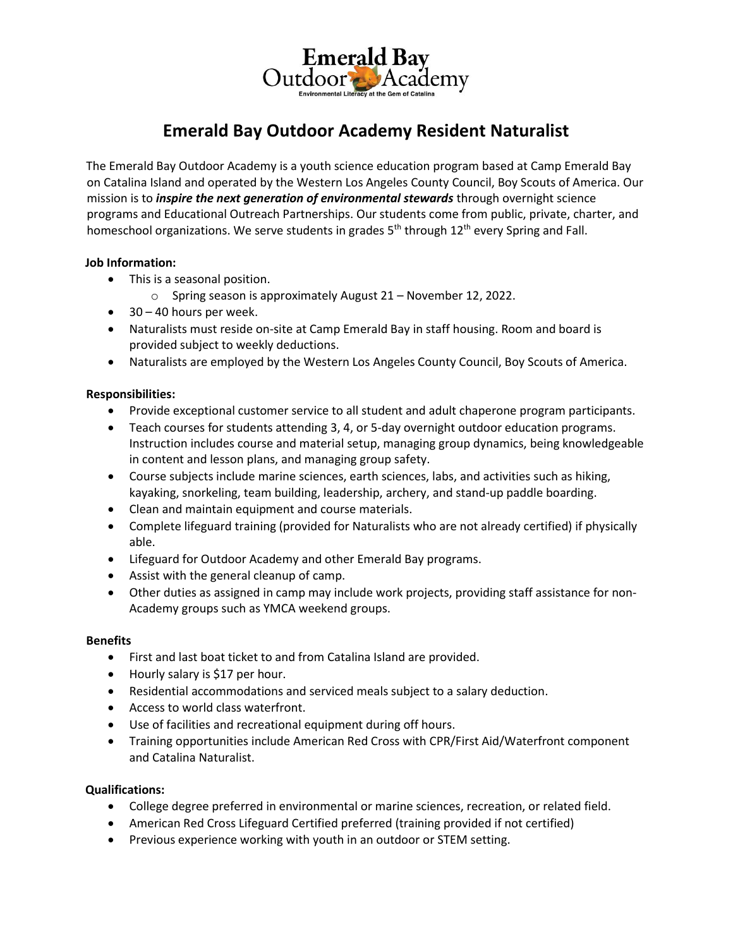Emerald Bay<br>tdoor

# **Emerald Bay Outdoor Academy Resident Naturalist**

The Emerald Bay Outdoor Academy is a youth science education program based at Camp Emerald Bay on Catalina Island and operated by the Western Los Angeles County Council, Boy Scouts of America. Our mission is to *inspire the next generation of environmental stewards* through overnight science programs and Educational Outreach Partnerships. Our students come from public, private, charter, and homeschool organizations. We serve students in grades  $5<sup>th</sup>$  through  $12<sup>th</sup>$  every Spring and Fall.

## **Job Information:**

- This is a seasonal position.
	- o Spring season is approximately August 21 November 12, 2022.
- 30 40 hours per week.
- Naturalists must reside on-site at Camp Emerald Bay in staff housing. Room and board is provided subject to weekly deductions.
- Naturalists are employed by the Western Los Angeles County Council, Boy Scouts of America.

## **Responsibilities:**

- Provide exceptional customer service to all student and adult chaperone program participants.
- Teach courses for students attending 3, 4, or 5-day overnight outdoor education programs. Instruction includes course and material setup, managing group dynamics, being knowledgeable in content and lesson plans, and managing group safety.
- Course subjects include marine sciences, earth sciences, labs, and activities such as hiking, kayaking, snorkeling, team building, leadership, archery, and stand-up paddle boarding.
- Clean and maintain equipment and course materials.
- Complete lifeguard training (provided for Naturalists who are not already certified) if physically able.
- Lifeguard for Outdoor Academy and other Emerald Bay programs.
- Assist with the general cleanup of camp.
- Other duties as assigned in camp may include work projects, providing staff assistance for non-Academy groups such as YMCA weekend groups.

#### **Benefits**

- First and last boat ticket to and from Catalina Island are provided.
- Hourly salary is \$17 per hour.
- Residential accommodations and serviced meals subject to a salary deduction.
- Access to world class waterfront.
- Use of facilities and recreational equipment during off hours.
- Training opportunities include American Red Cross with CPR/First Aid/Waterfront component and Catalina Naturalist.

#### **Qualifications:**

- College degree preferred in environmental or marine sciences, recreation, or related field.
- American Red Cross Lifeguard Certified preferred (training provided if not certified)
- Previous experience working with youth in an outdoor or STEM setting.